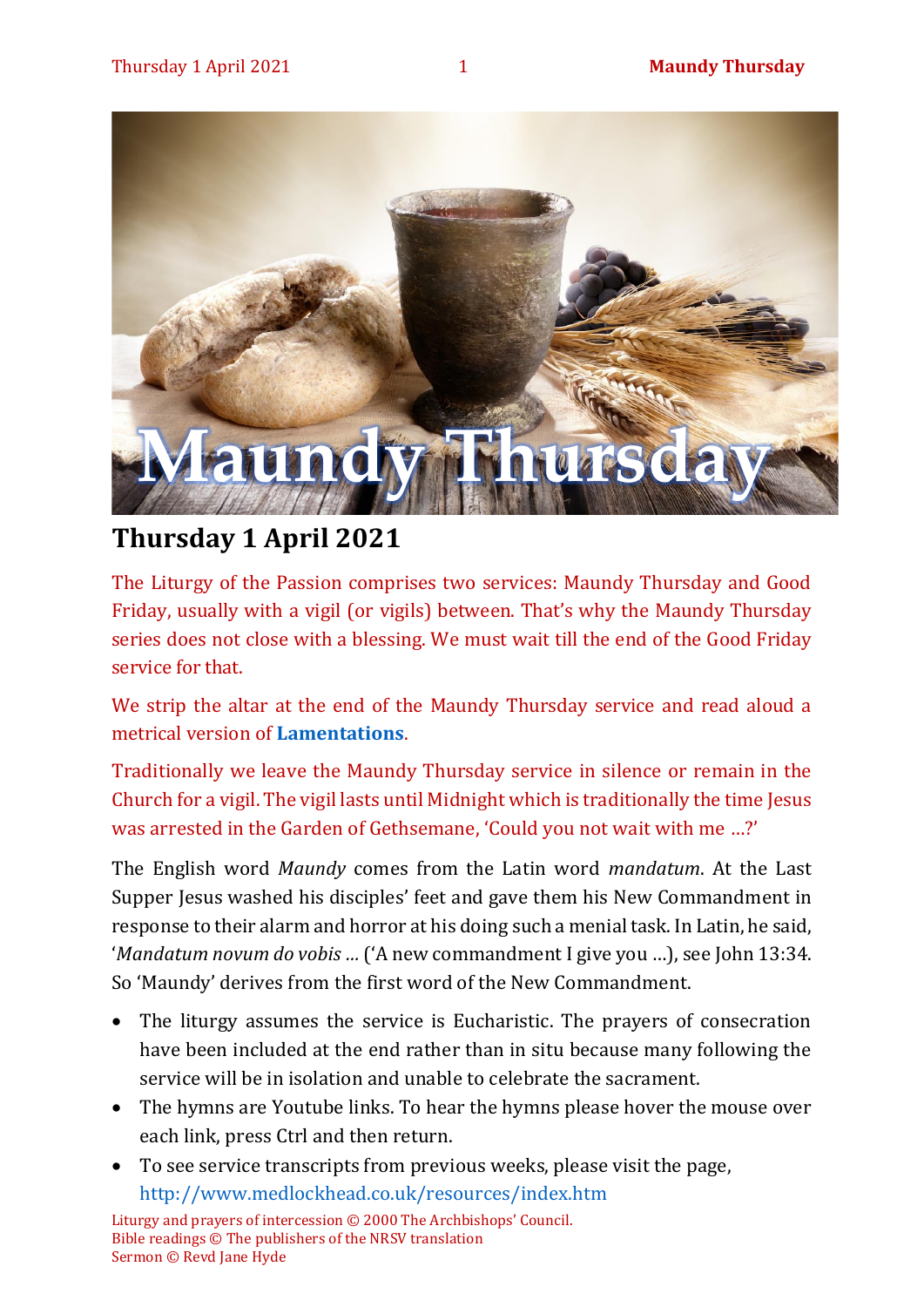

## **Thursday 1 April 2021**

The Liturgy of the Passion comprises two services: Maundy Thursday and Good Friday, usually with a vigil (or vigils) between. That's why the Maundy Thursday series does not close with a blessing. We must wait till the end of the Good Friday service for that.

We strip the altar at the end of the Maundy Thursday service and read aloud a metrical version of **[Lamentations](https://www.biblegateway.com/passage/?search=Lamentations+1&version=NRSV)**.

Traditionally we leave the Maundy Thursday service in silence or remain in the Church for a vigil. The vigil lasts until Midnight which is traditionally the time Jesus was arrested in the Garden of Gethsemane, 'Could you not wait with me …?'

The English word *Maundy* comes from the Latin word *mandatum*. At the Last Supper Jesus washed his disciples' feet and gave them his New Commandment in response to their alarm and horror at his doing such a menial task. In Latin, he said, '*Mandatum novum do vobis …* ('A new commandment I give you …), see John 13:34. So 'Maundy' derives from the first word of the New Commandment.

- The liturgy assumes the service is Eucharistic. The prayers of consecration have been included at the end rather than in situ because many following the service will be in isolation and unable to celebrate the sacrament.
- The hymns are Youtube links. To hear the hymns please hover the mouse over each link, press Ctrl and then return.
- To see service transcripts from previous weeks, please visit the page, <http://www.medlockhead.co.uk/resources/index.htm>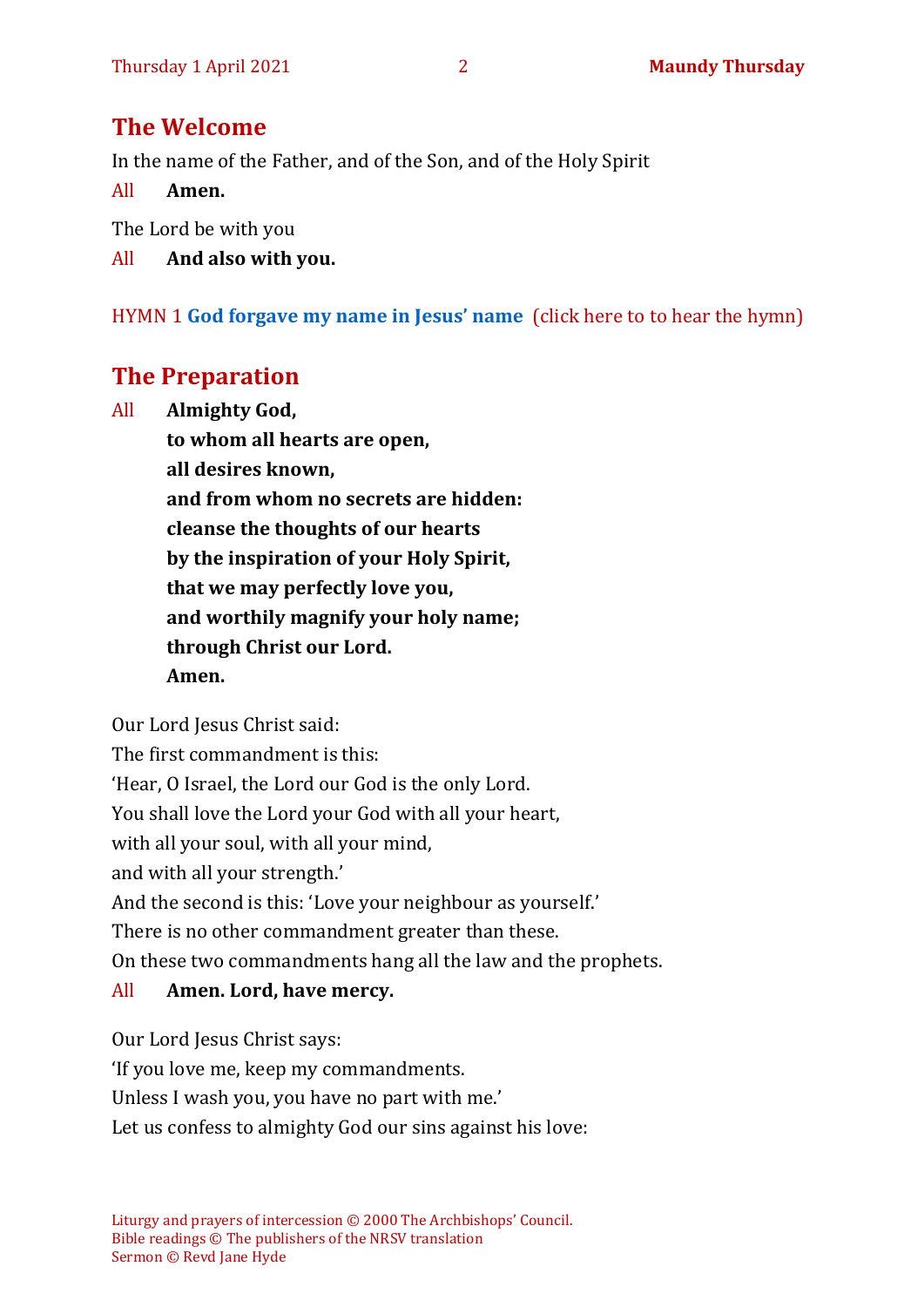## **The Welcome**

In the name of the Father, and of the Son, and of the Holy Spirit

All **Amen.**

The Lord be with you

All **And also with you.**

HYMN 1 **[God forgave my name in Jesus' name](https://www.youtube.com/watch?v=mo3MGpcBC5M)** (click here to to hear the hymn)

## **The Preparation**

All **Almighty God, to whom all hearts are open, all desires known, and from whom no secrets are hidden: cleanse the thoughts of our hearts by the inspiration of your Holy Spirit, that we may perfectly love you, and worthily magnify your holy name; through Christ our Lord. Amen.**

Our Lord Jesus Christ said:

The first commandment is this:

'Hear, O Israel, the Lord our God is the only Lord.

You shall love the Lord your God with all your heart,

with all your soul, with all your mind,

and with all your strength.'

And the second is this: 'Love your neighbour as yourself.'

There is no other commandment greater than these.

On these two commandments hang all the law and the prophets.

## All **Amen. Lord, have mercy.**

Our Lord Jesus Christ says:

'If you love me, keep my commandments.

Unless I wash you, you have no part with me.'

Let us confess to almighty God our sins against his love: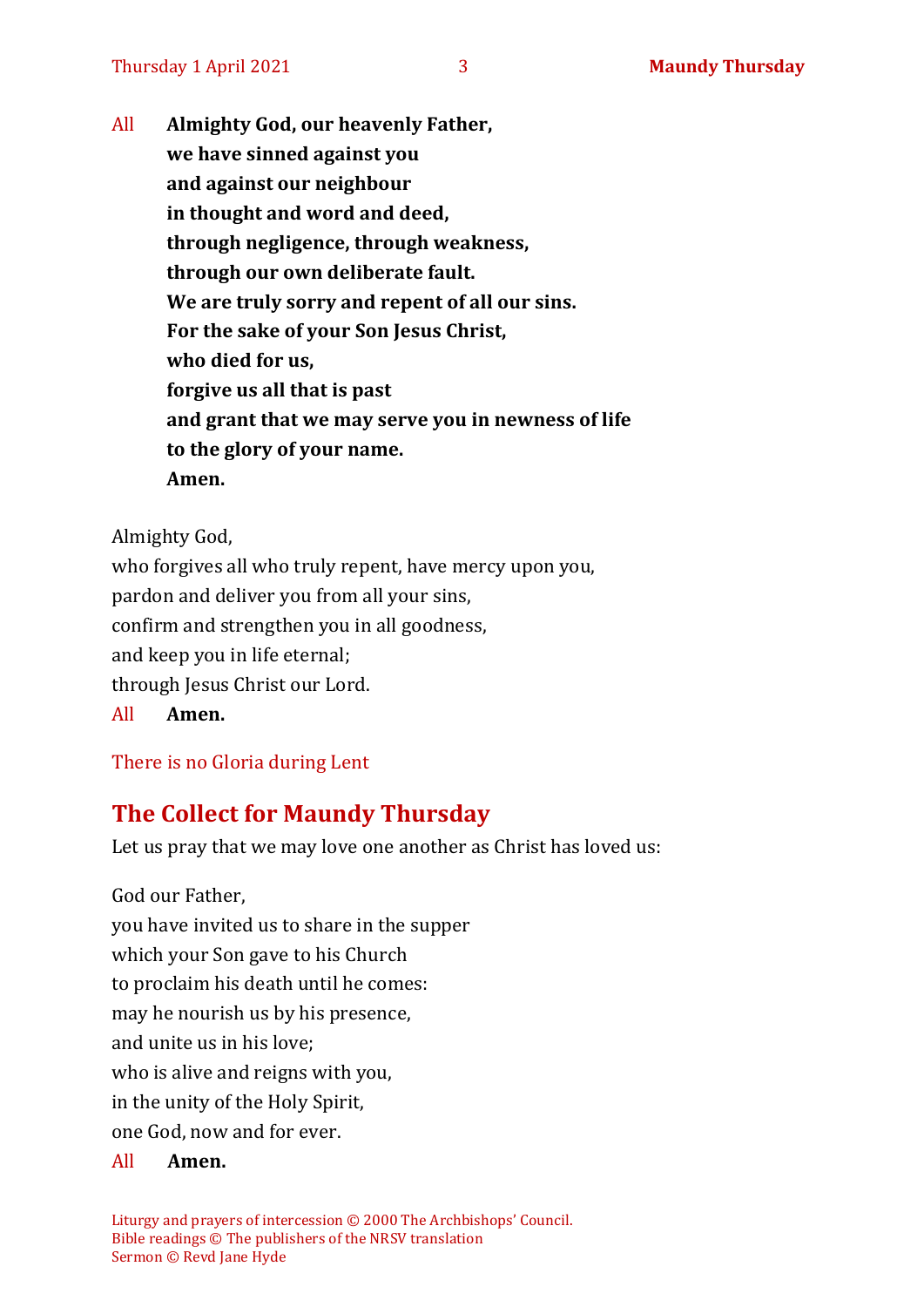All **Almighty God, our heavenly Father, we have sinned against you and against our neighbour in thought and word and deed, through negligence, through weakness, through our own deliberate fault. We are truly sorry and repent of all our sins. For the sake of your Son Jesus Christ, who died for us, forgive us all that is past and grant that we may serve you in newness of life to the glory of your name. Amen.**

Almighty God,

who forgives all who truly repent, have mercy upon you, pardon and deliver you from all your sins, confirm and strengthen you in all goodness, and keep you in life eternal; through Jesus Christ our Lord. All **Amen.**

There is no Gloria during Lent

## **The Collect for Maundy Thursday**

Let us pray that we may love one another as Christ has loved us:

God our Father, you have invited us to share in the supper which your Son gave to his Church to proclaim his death until he comes: may he nourish us by his presence, and unite us in his love; who is alive and reigns with you, in the unity of the Holy Spirit, one God, now and for ever.

#### All **Amen.**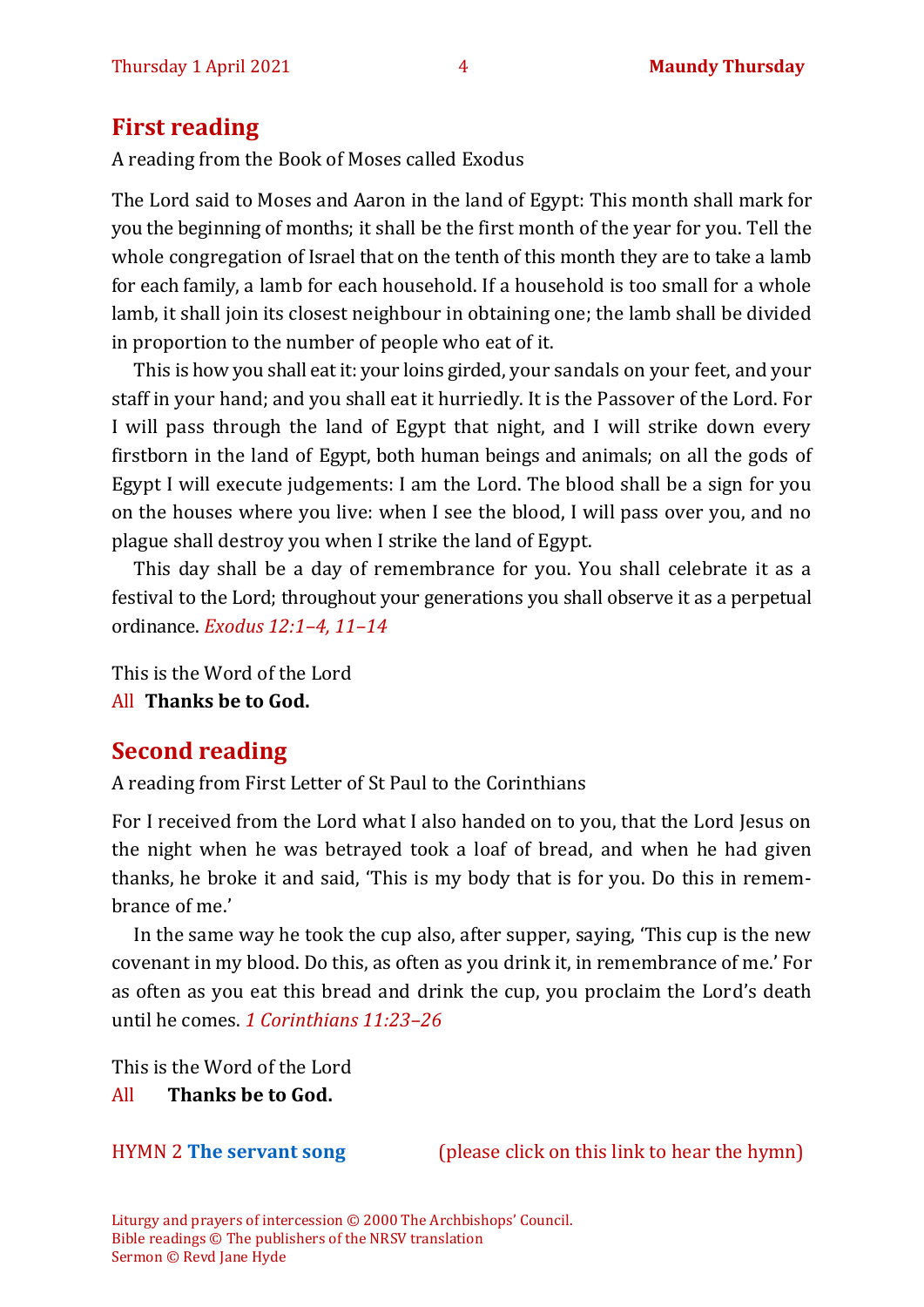## **First reading**

A reading from the Book of Moses called Exodus

The Lord said to Moses and Aaron in the land of Egypt: This month shall mark for you the beginning of months; it shall be the first month of the year for you. Tell the whole congregation of Israel that on the tenth of this month they are to take a lamb for each family, a lamb for each household. If a household is too small for a whole lamb, it shall join its closest neighbour in obtaining one; the lamb shall be divided in proportion to the number of people who eat of it.

This is how you shall eat it: your loins girded, your sandals on your feet, and your staff in your hand; and you shall eat it hurriedly. It is the Passover of the Lord. For I will pass through the land of Egypt that night, and I will strike down every firstborn in the land of Egypt, both human beings and animals; on all the gods of Egypt I will execute judgements: I am the Lord. The blood shall be a sign for you on the houses where you live: when I see the blood, I will pass over you, and no plague shall destroy you when I strike the land of Egypt.

This day shall be a day of remembrance for you. You shall celebrate it as a festival to the Lord; throughout your generations you shall observe it as a perpetual ordinance. *Exodus 12:1–4, 11–14*

This is the Word of the Lord All **Thanks be to God.**

## **Second reading**

A reading from First Letter of St Paul to the Corinthians

For I received from the Lord what I also handed on to you, that the Lord Jesus on the night when he was betrayed took a loaf of bread, and when he had given thanks, he broke it and said, 'This is my body that is for you. Do this in remembrance of me.'

In the same way he took the cup also, after supper, saying, 'This cup is the new covenant in my blood. Do this, as often as you drink it, in remembrance of me.' For as often as you eat this bread and drink the cup, you proclaim the Lord's death until he comes. *1 Corinthians 11:23–26*

This is the Word of the Lord

#### All **Thanks be to God.**

HYMN 2 **[The servant song](https://www.youtube.com/watch?v=vsBCCz3Y7_w)** (please click on this link to hear the hymn)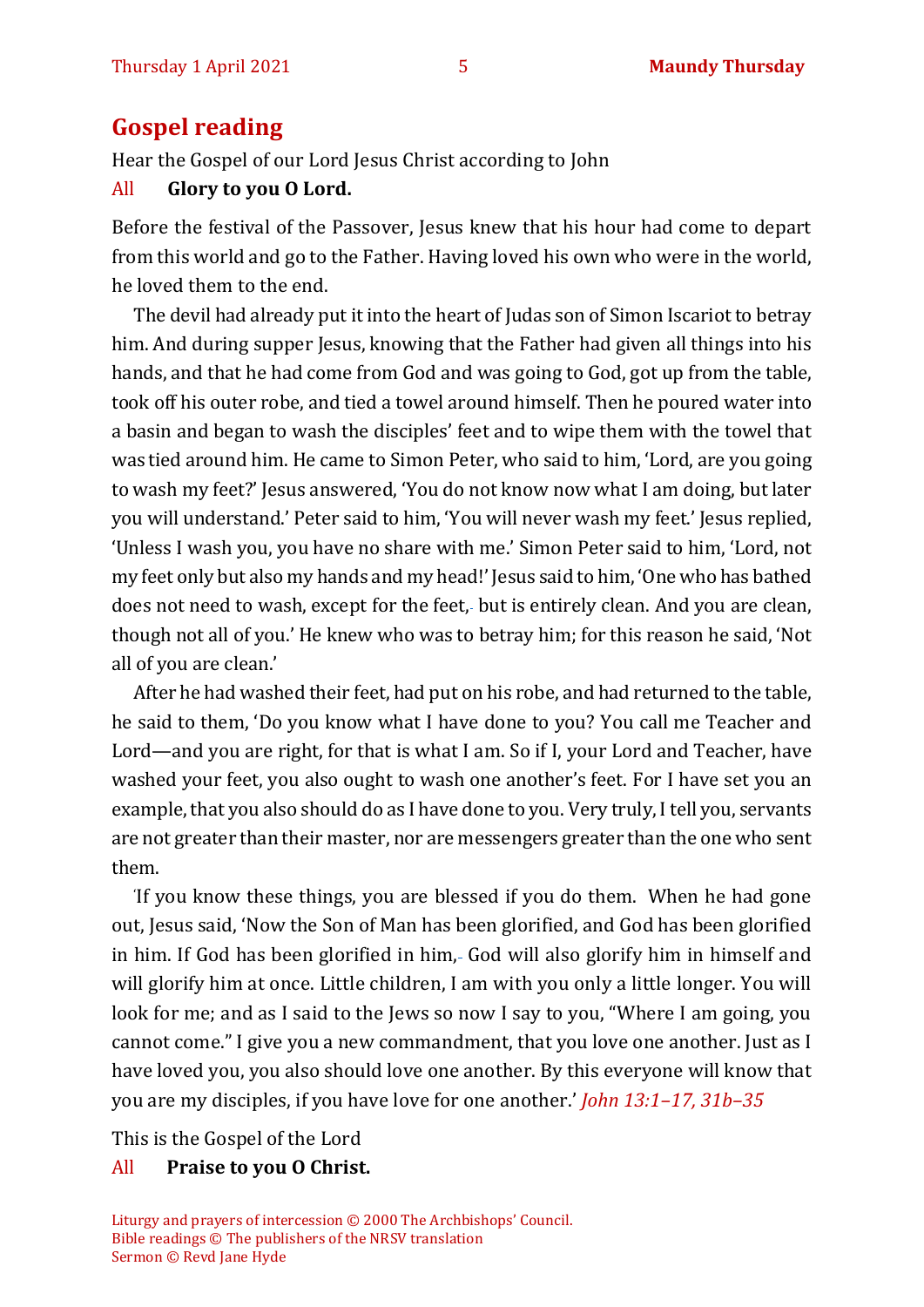## **Gospel reading**

Hear the Gospel of our Lord Jesus Christ according to John

#### All **Glory to you O Lord.**

Before the festival of the Passover, Jesus knew that his hour had come to depart from this world and go to the Father. Having loved his own who were in the world, he loved them to the end.

The devil had already put it into the heart of Judas son of Simon Iscariot to betray him. And during supper Jesus, knowing that the Father had given all things into his hands, and that he had come from God and was going to God, got up from the table[,](javascript:void(0);) took off his outer robe, and tied a towel around himself. Then he poured water into a basin and began to wash the disciples' feet and to wipe them with the towel that was tied around him. He came to Simon Peter, who said to him, 'Lord, are you going to wash my feet?' Jesus answered, 'You do not know now what I am doing, but later you will understand.' Peter said to him, 'You will never wash my feet.' Jesus replied, 'Unless I wash you, you have no share with me.' Simon Peter said to him, 'Lord, not my feet only but also my hands and my head!' Jesus said to him, 'One who has bathed does not need to wash, except for the feet[,](javascript:void(0);) but is entirely clean. And you are clean, though not all of you.' He knew who was to betray him; for this reason he said, 'Not all of you are clean.'

After he had washed their feet, had put on his robe, and had returned to the table, he said to them, 'Do you know what I have done to you? You call me Teacher and Lord—and you are right, for that is what I am. So if I, your Lord and Teacher, have washed your feet, you also ought to wash one another's feet. For I have set you an example, that you also should do as I have done to you. Very truly, I tell you, servant[s](javascript:void(0);) are not greater than their master, nor are messengers greater than the one who sent them.

'If you know these things, you are blessed if you do them. When he had gone out, Jesus said, 'Now the Son of Man has been glorified, and God has been glorified in him. If God has been glorified in him[,](javascript:void(0);) God will also glorify him in himself and will glorify him at once. Little children, I am with you only a little longer. You will look for me; and as I said to the Jews so now I say to you, "Where I am going, you cannot come." I give you a new commandment, that you love one another. Just as I have loved you, you also should love one another. By this everyone will know that you are my disciples, if you have love for one another.' *John 13:1–17, 31b–35*

This is the Gospel of the Lord

#### All **Praise to you O Christ.**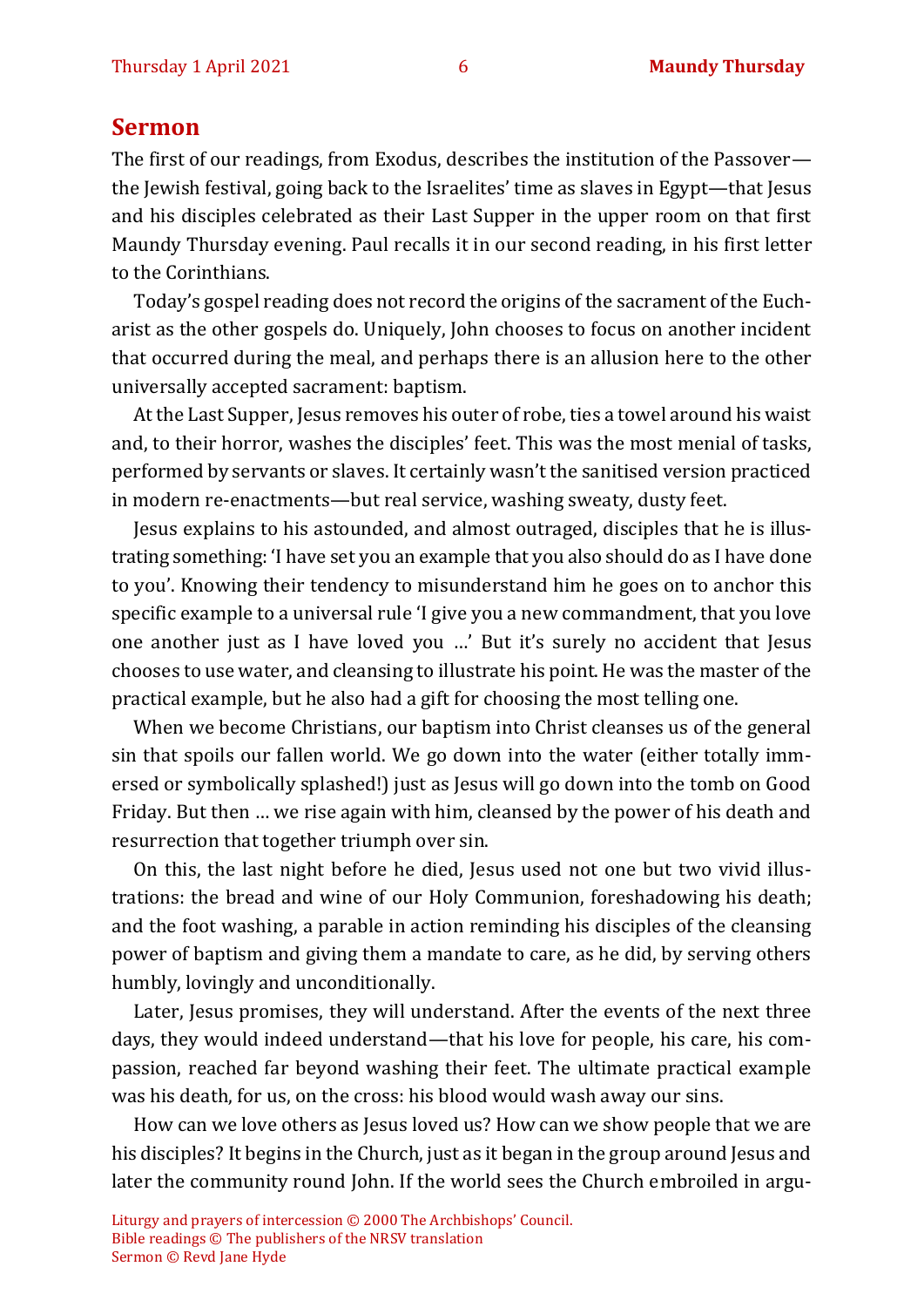#### **Sermon**

The first of our readings, from Exodus, describes the institution of the Passover the Jewish festival, going back to the Israelites' time as slaves in Egypt—that Jesus and his disciples celebrated as their Last Supper in the upper room on that first Maundy Thursday evening. Paul recalls it in our second reading, in his first letter to the Corinthians.

Today's gospel reading does not record the origins of the sacrament of the Eucharist as the other gospels do. Uniquely, John chooses to focus on another incident that occurred during the meal, and perhaps there is an allusion here to the other universally accepted sacrament: baptism.

At the Last Supper, Jesus removes his outer of robe, ties a towel around his waist and, to their horror, washes the disciples' feet. This was the most menial of tasks, performed by servants or slaves. It certainly wasn't the sanitised version practiced in modern re-enactments—but real service, washing sweaty, dusty feet.

Jesus explains to his astounded, and almost outraged, disciples that he is illustrating something: 'I have set you an example that you also should do as I have done to you'. Knowing their tendency to misunderstand him he goes on to anchor this specific example to a universal rule 'I give you a new commandment, that you love one another just as I have loved you …' But it's surely no accident that Jesus chooses to use water, and cleansing to illustrate his point. He was the master of the practical example, but he also had a gift for choosing the most telling one.

When we become Christians, our baptism into Christ cleanses us of the general sin that spoils our fallen world. We go down into the water (either totally immersed or symbolically splashed!) just as Jesus will go down into the tomb on Good Friday. But then … we rise again with him, cleansed by the power of his death and resurrection that together triumph over sin.

On this, the last night before he died, Jesus used not one but two vivid illustrations: the bread and wine of our Holy Communion, foreshadowing his death; and the foot washing, a parable in action reminding his disciples of the cleansing power of baptism and giving them a mandate to care, as he did, by serving others humbly, lovingly and unconditionally.

Later, Jesus promises, they will understand. After the events of the next three days, they would indeed understand—that his love for people, his care, his compassion, reached far beyond washing their feet. The ultimate practical example was his death, for us, on the cross: his blood would wash away our sins.

How can we love others as Jesus loved us? How can we show people that we are his disciples? It begins in the Church, just as it began in the group around Jesus and later the community round John. If the world sees the Church embroiled in argu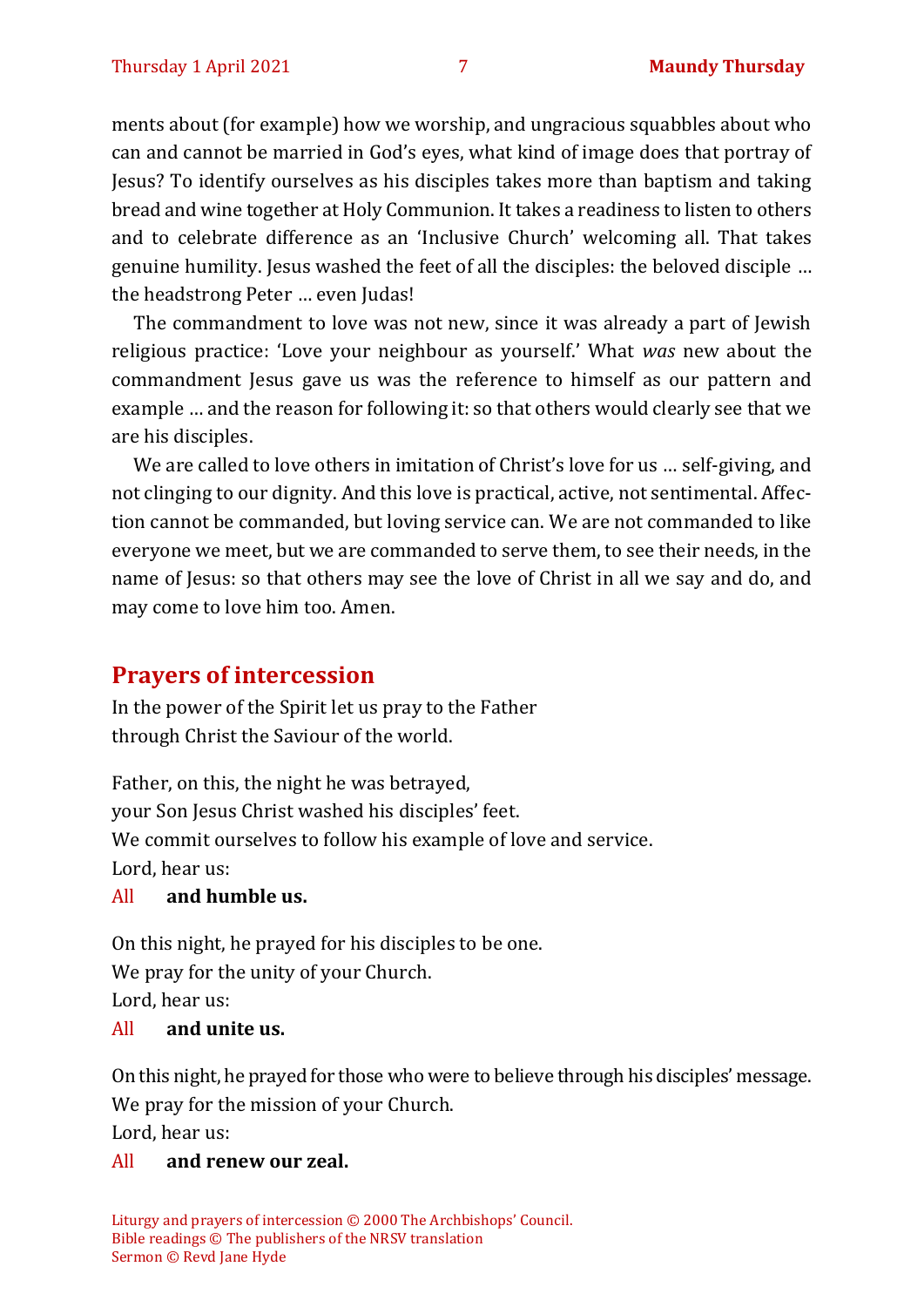ments about (for example) how we worship, and ungracious squabbles about who can and cannot be married in God's eyes, what kind of image does that portray of Jesus? To identify ourselves as his disciples takes more than baptism and taking bread and wine together at Holy Communion. It takes a readiness to listen to others and to celebrate difference as an 'Inclusive Church' welcoming all. That takes genuine humility. Jesus washed the feet of all the disciples: the beloved disciple … the headstrong Peter … even Judas!

The commandment to love was not new, since it was already a part of Jewish religious practice: 'Love your neighbour as yourself.' What *was* new about the commandment Jesus gave us was the reference to himself as our pattern and example … and the reason for following it: so that others would clearly see that we are his disciples.

We are called to love others in imitation of Christ's love for us … self-giving, and not clinging to our dignity. And this love is practical, active, not sentimental. Affection cannot be commanded, but loving service can. We are not commanded to like everyone we meet, but we are commanded to serve them, to see their needs, in the name of Jesus: so that others may see the love of Christ in all we say and do, and may come to love him too. Amen.

## **Prayers of intercession**

In the power of the Spirit let us pray to the Father through Christ the Saviour of the world.

Father, on this, the night he was betrayed, your Son Jesus Christ washed his disciples' feet. We commit ourselves to follow his example of love and service. Lord, hear us:

#### All **and humble us.**

On this night, he prayed for his disciples to be one. We pray for the unity of your Church. Lord, hear us:

#### All **and unite us.**

On this night, he prayed for those who were to believe through his disciples' message.

We pray for the mission of your Church.

Lord, hear us:

#### All **and renew our zeal.**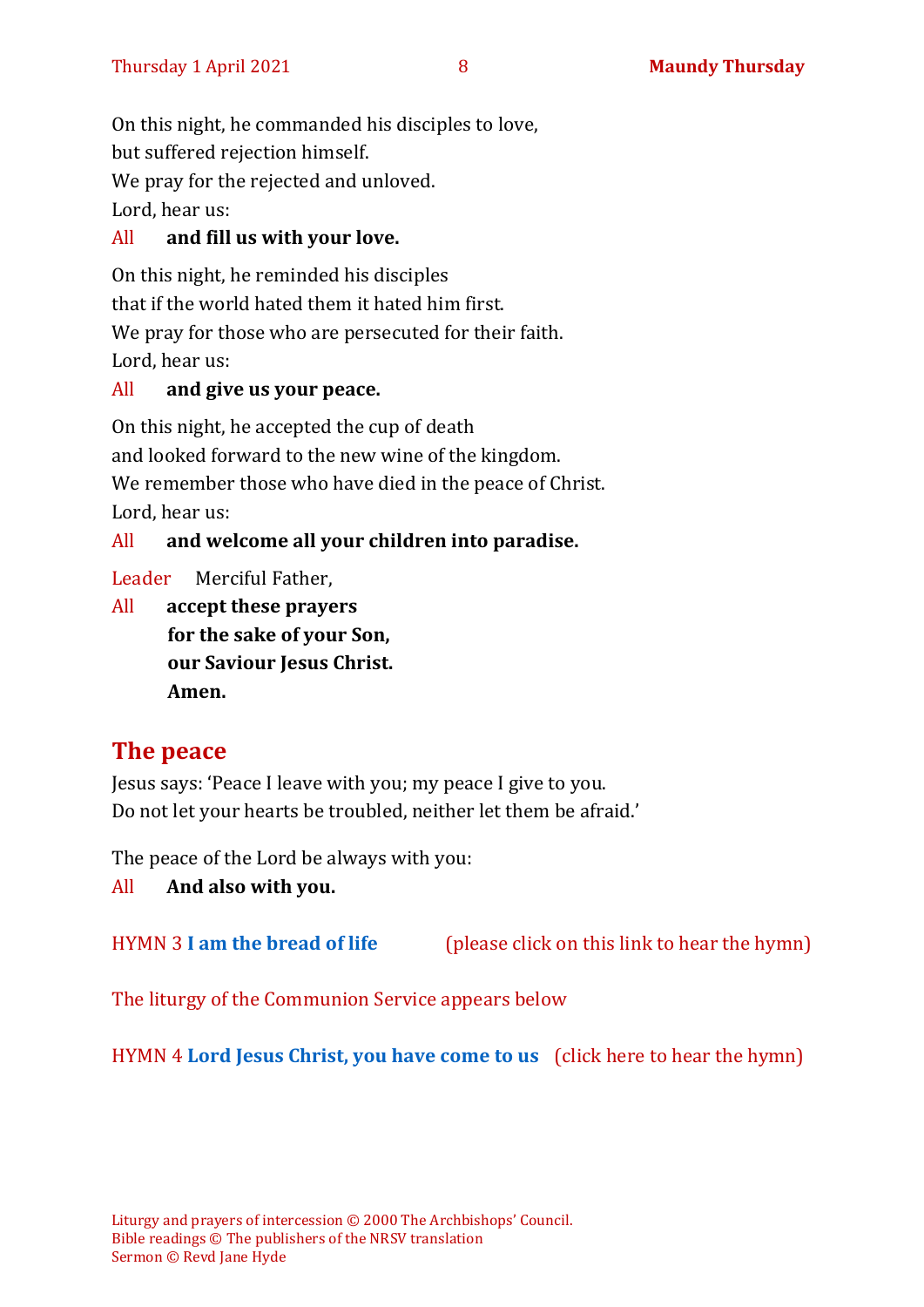On this night, he commanded his disciples to love,

but suffered rejection himself.

We pray for the rejected and unloved.

Lord, hear us:

## All **and fill us with your love.**

On this night, he reminded his disciples that if the world hated them it hated him first. We pray for those who are persecuted for their faith. Lord, hear us:

## All **and give us your peace.**

On this night, he accepted the cup of death and looked forward to the new wine of the kingdom. We remember those who have died in the peace of Christ. Lord, hear us:

## All **and welcome all your children into paradise.**

Leader Merciful Father,

```
All accept these prayers
for the sake of your Son,
our Saviour Jesus Christ. 
Amen.
```
## **The peace**

Jesus says: 'Peace I leave with you; my peace I give to you. Do not let your hearts be troubled, neither let them be afraid.'

The peace of the Lord be always with you:

## All **And also with you.**

HYMN 3 **[I am the bread of life](https://www.youtube.com/watch?v=IvD0XJzOWQ4)** (please click on this link to hear the hymn)

The liturgy of the Communion Service appears below

HYMN 4 **[Lord Jesus Christ, you have come to us](https://www.youtube.com/watch?v=ekVLG-p8Xsc)** (click here to hear the hymn)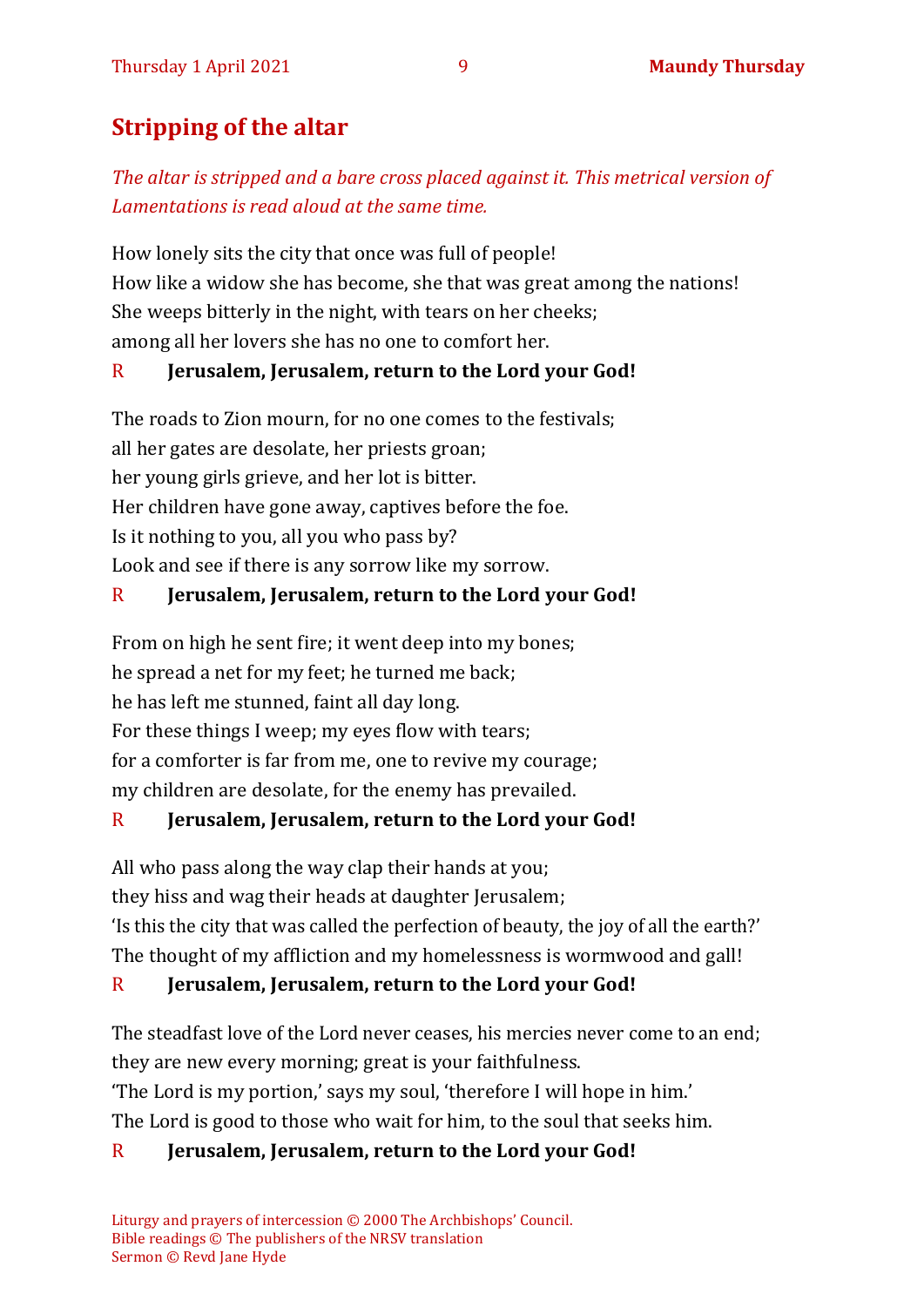## **Stripping of the altar**

## *The altar is stripped and a bare cross placed against it. This metrical version of Lamentations is read aloud at the same time.*

How lonely sits the city that once was full of people! How like a widow she has become, she that was great among the nations! She weeps bitterly in the night, with tears on her cheeks; among all her lovers she has no one to comfort her.

## R **Jerusalem, Jerusalem, return to the Lord your God!**

The roads to Zion mourn, for no one comes to the festivals; all her gates are desolate, her priests groan; her young girls grieve, and her lot is bitter. Her children have gone away, captives before the foe. Is it nothing to you, all you who pass by? Look and see if there is any sorrow like my sorrow.

## R **Jerusalem, Jerusalem, return to the Lord your God!**

From on high he sent fire; it went deep into my bones; he spread a net for my feet; he turned me back; he has left me stunned, faint all day long. For these things I weep; my eyes flow with tears; for a comforter is far from me, one to revive my courage; my children are desolate, for the enemy has prevailed.

## R **Jerusalem, Jerusalem, return to the Lord your God!**

All who pass along the way clap their hands at you; they hiss and wag their heads at daughter Jerusalem; 'Is this the city that was called the perfection of beauty, the joy of all the earth?' The thought of my affliction and my homelessness is wormwood and gall!

## R **Jerusalem, Jerusalem, return to the Lord your God!**

The steadfast love of the Lord never ceases, his mercies never come to an end; they are new every morning; great is your faithfulness.

'The Lord is my portion,' says my soul, 'therefore I will hope in him.' The Lord is good to those who wait for him, to the soul that seeks him.

## R **Jerusalem, Jerusalem, return to the Lord your God!**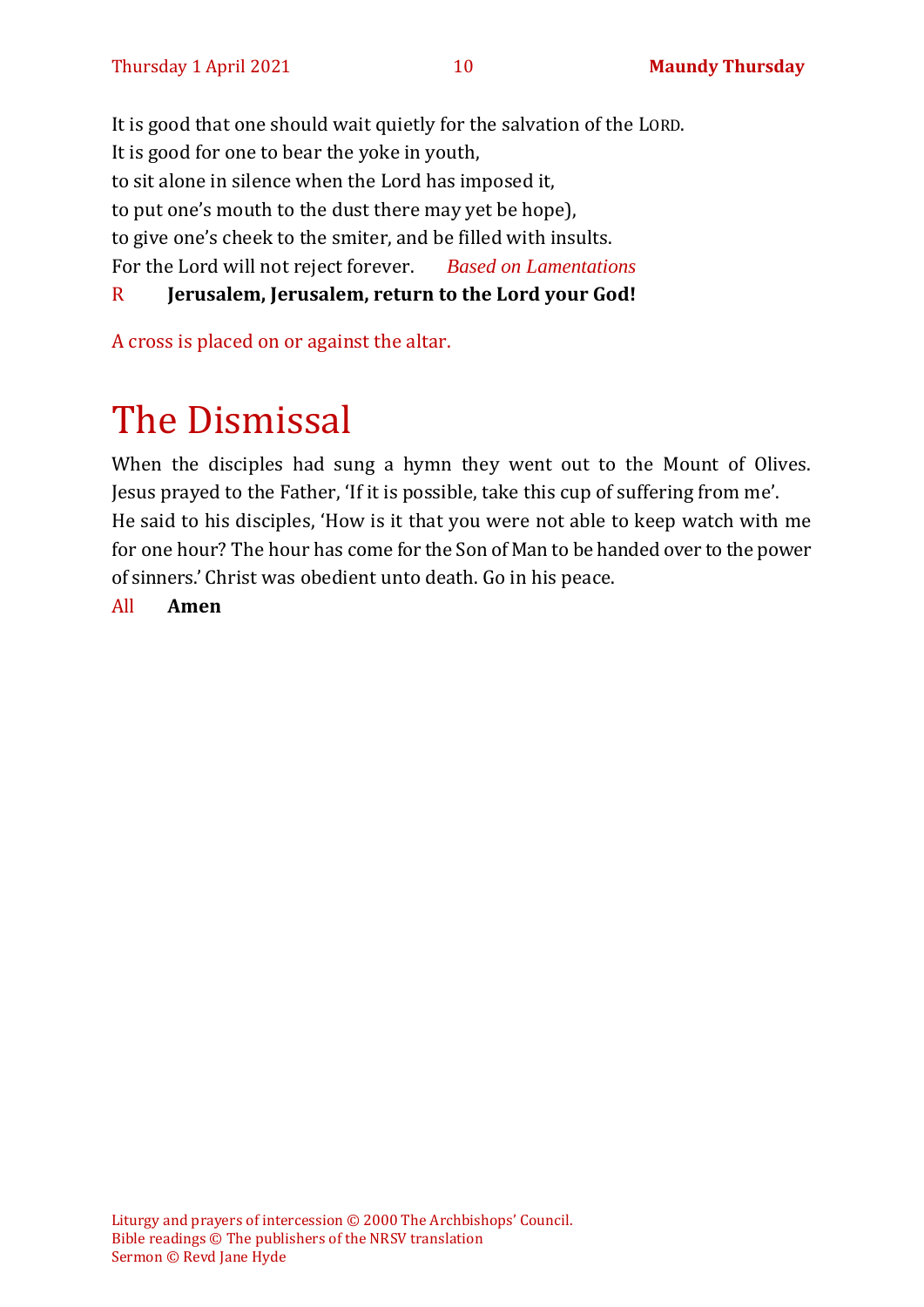It is good that one should wait quietly for the salvation of the LORD. It is good for one to bear the yoke in youth, to sit alone in silence when the Lord has imposed it, to put one's mouth to the dust there may yet be hope), to give one's cheek to the smiter, and be filled with insults. For the Lord will not reject forever. *Based on Lamentations* R **Jerusalem, Jerusalem, return to the Lord your God!**

A cross is placed on or against the altar.

# The Dismissal

When the disciples had sung a hymn they went out to the Mount of Olives. Jesus prayed to the Father, 'If it is possible, take this cup of suffering from me'. He said to his disciples, 'How is it that you were not able to keep watch with me for one hour? The hour has come for the Son of Man to be handed over to the power of sinners.' Christ was obedient unto death. Go in his peace.

All **Amen**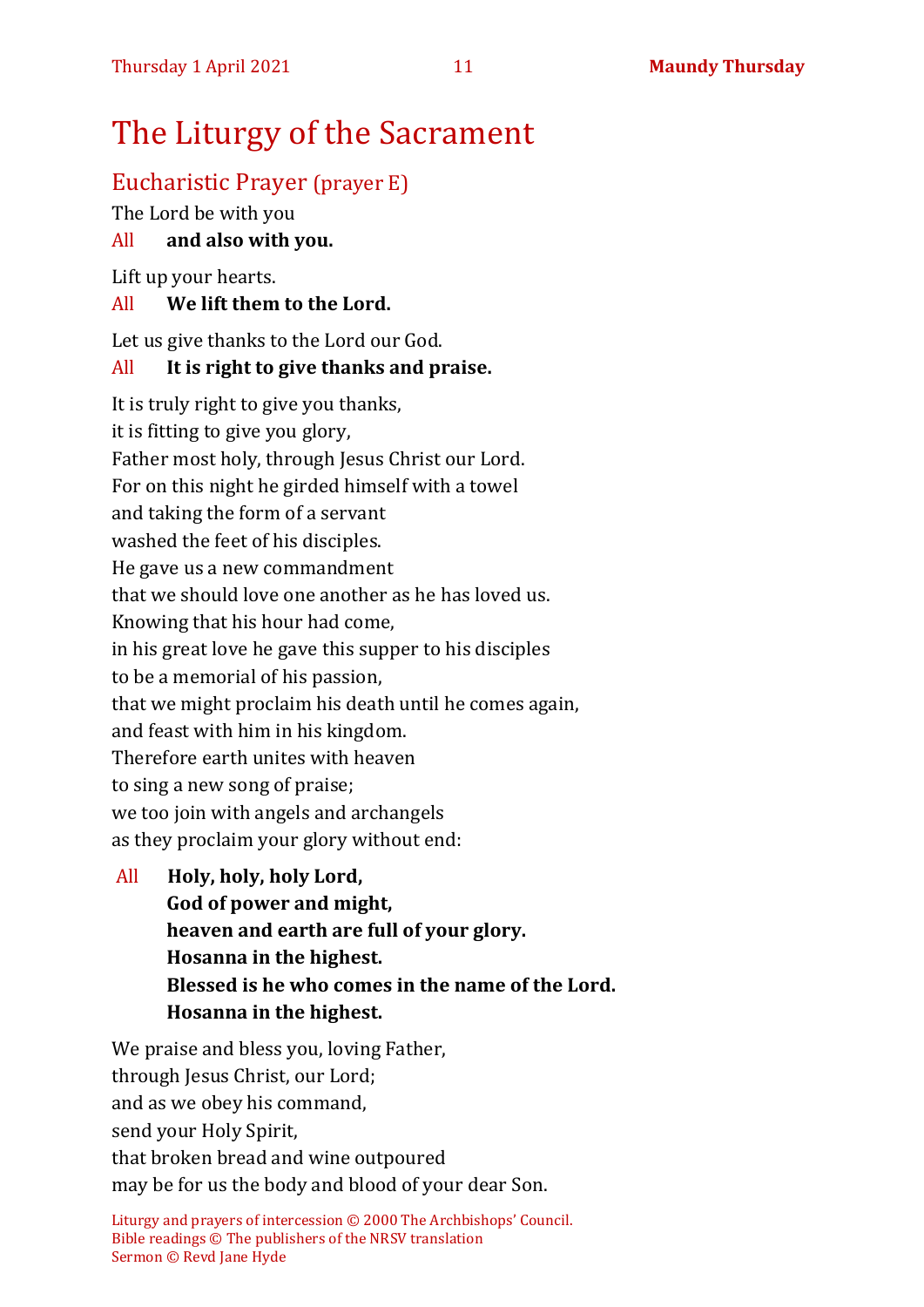# The Liturgy of the Sacrament

## Eucharistic Prayer (prayer E)

The Lord be with you

## All **and also with you.**

Lift up your hearts.

## All **We lift them to the Lord.**

Let us give thanks to the Lord our God.

## All **It is right to give thanks and praise.**

It is truly right to give you thanks, it is fitting to give you glory, Father most holy, through Jesus Christ our Lord. For on this night he girded himself with a towel and taking the form of a servant washed the feet of his disciples. He gave us a new commandment that we should love one another as he has loved us. Knowing that his hour had come, in his great love he gave this supper to his disciples to be a memorial of his passion, that we might proclaim his death until he comes again, and feast with him in his kingdom. Therefore earth unites with heaven to sing a new song of praise; we too join with angels and archangels as they proclaim your glory without end:

All **Holy, holy, holy Lord,**

**God of power and might, heaven and earth are full of your glory. Hosanna in the highest. Blessed is he who comes in the name of the Lord. Hosanna in the highest.**

We praise and bless you, loving Father, through Jesus Christ, our Lord; and as we obey his command, send your Holy Spirit, that broken bread and wine outpoured may be for us the body and blood of your dear Son.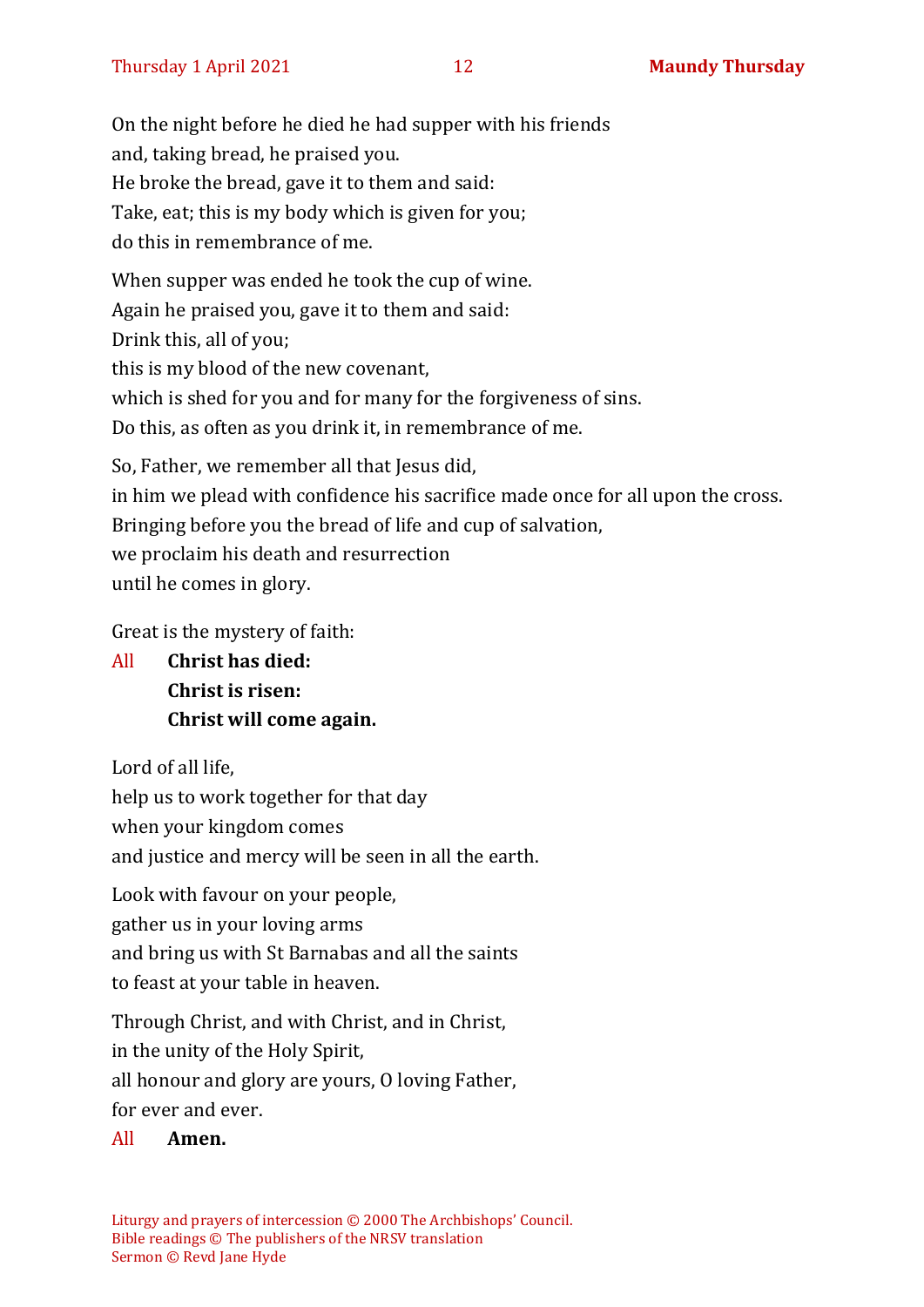On the night before he died he had supper with his friends and, taking bread, he praised you. He broke the bread, gave it to them and said: Take, eat; this is my body which is given for you; do this in remembrance of me.

When supper was ended he took the cup of wine. Again he praised you, gave it to them and said: Drink this, all of you; this is my blood of the new covenant, which is shed for you and for many for the forgiveness of sins. Do this, as often as you drink it, in remembrance of me.

So, Father, we remember all that Jesus did, in him we plead with confidence his sacrifice made once for all upon the cross. Bringing before you the bread of life and cup of salvation, we proclaim his death and resurrection until he comes in glory.

Great is the mystery of faith:

All **Christ has died: Christ is risen: Christ will come again.**

Lord of all life,

help us to work together for that day

when your kingdom comes

and justice and mercy will be seen in all the earth.

Look with favour on your people, gather us in your loving arms and bring us with St Barnabas and all the saints

to feast at your table in heaven.

Through Christ, and with Christ, and in Christ,

in the unity of the Holy Spirit,

all honour and glory are yours, O loving Father,

for ever and ever.

All **Amen.**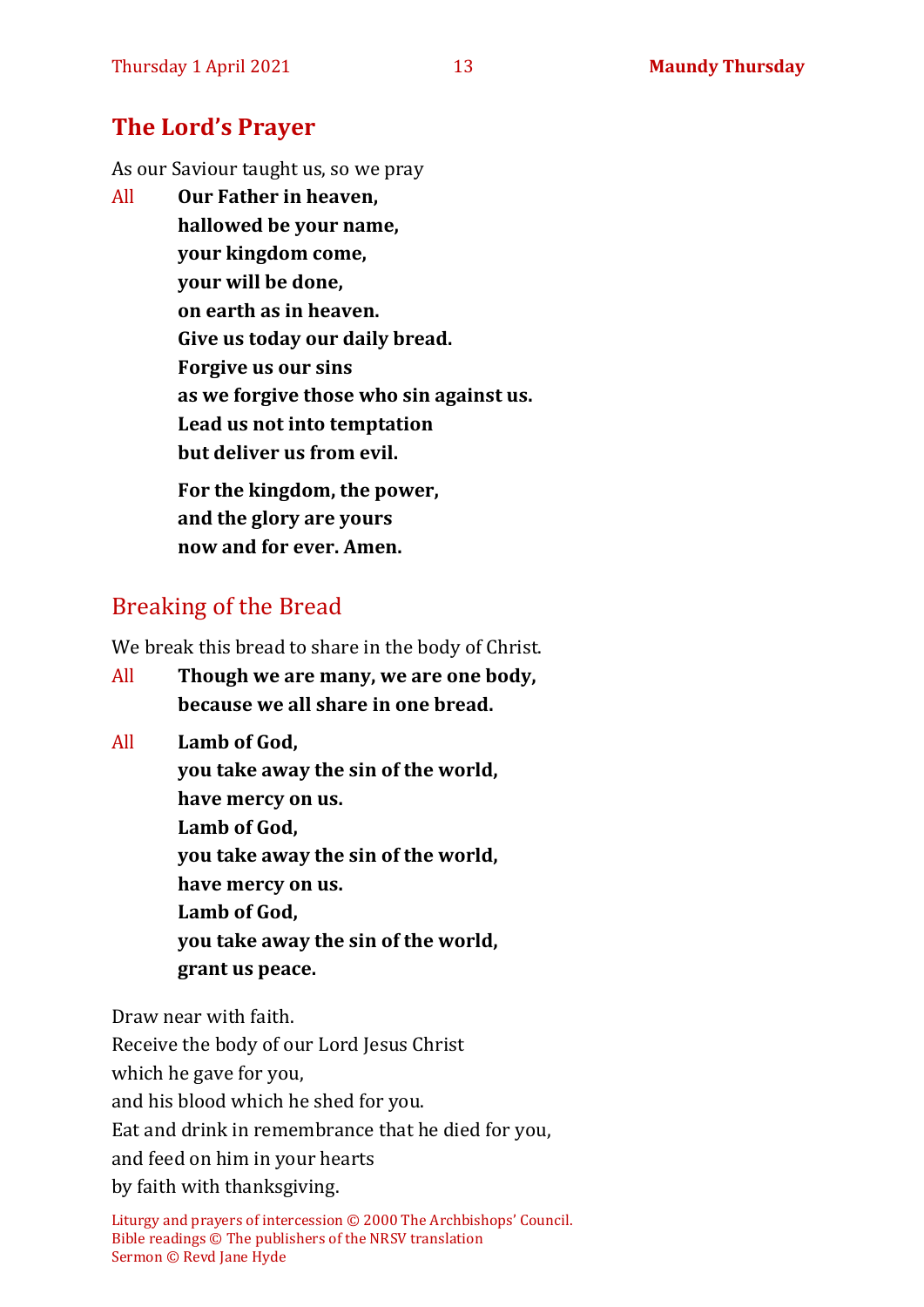## **The Lord's Prayer**

As our Saviour taught us, so we pray

All **Our Father in heaven, hallowed be your name, your kingdom come, your will be done, on earth as in heaven. Give us today our daily bread. Forgive us our sins as we forgive those who sin against us. Lead us not into temptation but deliver us from evil.**

**For the kingdom, the power, and the glory are yours now and for ever. Amen.**

## Breaking of the Bread

We break this bread to share in the body of Christ.

All **Though we are many, we are one body, because we all share in one bread.**

All **Lamb of God, you take away the sin of the world, have mercy on us. Lamb of God, you take away the sin of the world, have mercy on us. Lamb of God, you take away the sin of the world, grant us peace.**

Draw near with faith. Receive the body of our Lord Jesus Christ which he gave for you, and his blood which he shed for you. Eat and drink in remembrance that he died for you, and feed on him in your hearts by faith with thanksgiving.